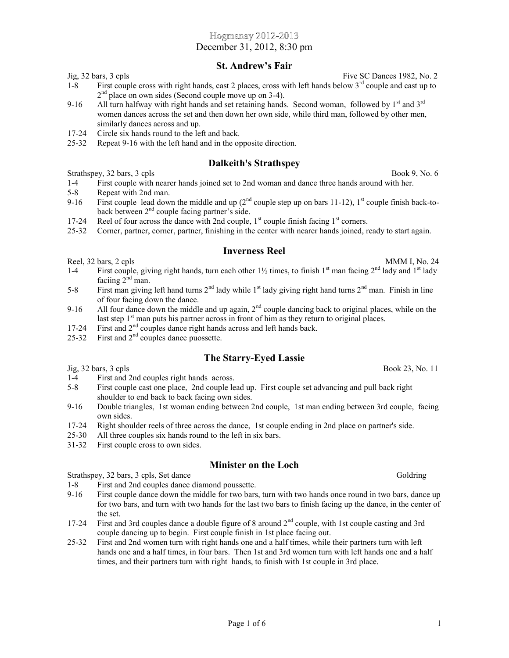Page  $1$  of  $6$  1

## Jig, 32 bars, 3 cpls Five SC Dances 1982, No. 2

1-8 First couple cross with right hands, cast 2 places, cross with left hands below 3<sup>rd</sup> couple and cast up to 2<sup>nd</sup> place on own sides (Second couple move up on 3-4).

December 31, 2012, 8:30 pm

Hogmanay 2012-2013

**St. Andrew's Fair**

- 9-16 All turn halfway with right hands and set retaining hands. Second woman, followed by  $1<sup>st</sup>$  and  $3<sup>rd</sup>$ women dances across the set and then down her own side, while third man, followed by other men, similarly dances across and up.
- 17-24 Circle six hands round to the left and back.
- 25-32 Repeat 9-16 with the left hand and in the opposite direction.

#### **Dalkeith's Strathspey**

Strathspey, 32 bars, 3 cpls Book 9, No. 6

- 1-4 First couple with nearer hands joined set to 2nd woman and dance three hands around with her.
- 5-8 Repeat with 2nd man.
- 9-16 First couple lead down the middle and up  $(2^{nd}$  couple step up on bars 11-12), 1<sup>st</sup> couple finish back-toback between 2nd couple facing partner's side.
- 17-24 Reel of four across the dance with 2nd couple,  $1<sup>st</sup>$  couple finish facing  $1<sup>st</sup>$  corners.
- 25-32 Corner, partner, corner, partner, finishing in the center with nearer hands joined, ready to start again.

#### **Inverness Reel**

Reel, 32 bars, 2 cpls MMM I, No. 24

- 1-4 First couple, giving right hands, turn each other  $1\frac{1}{2}$  times, to finish  $1<sup>st</sup>$  man facing  $2<sup>nd</sup>$  lady and  $1<sup>st</sup>$  lady faciing  $2^{\text{nd}}$  man.
- 5-8 First man giving left hand turns  $2^{nd}$  lady while 1<sup>st</sup> lady giving right hand turns  $2^{nd}$  man. Finish in line of four facing down the dance.
- 9-16 All four dance down the middle and up again,  $2<sup>nd</sup>$  couple dancing back to original places, while on the last step  $1<sup>st</sup>$  man puts his partner across in front of him as they return to original places.
- 17-24 First and  $2<sup>nd</sup>$  couples dance right hands across and left hands back.
- 25-32 First and  $2<sup>nd</sup>$  couples dance puossette.

# **The Starry-Eyed Lassie**

 $Jig, 32 \text{ bars}, 3 \text{ cpls}$  Book 23, No. 11

- 1-4 First and 2nd couples right hands across.
- 5-8 First couple cast one place, 2nd couple lead up. First couple set advancing and pull back right shoulder to end back to back facing own sides.
- 9-16 Double triangles, 1st woman ending between 2nd couple, 1st man ending between 3rd couple, facing own sides.
- 17-24 Right shoulder reels of three across the dance, 1st couple ending in 2nd place on partner's side.
- 25-30 All three couples six hands round to the left in six bars.
- 31-32 First couple cross to own sides.

## **Minister on the Loch**

Strathspey, 32 bars, 3 cpls, Set dance Goldring Strathspey, 32 bars, 3 cpls, Set dance

1-8 First and 2nd couples dance diamond poussette.

- 9-16 First couple dance down the middle for two bars, turn with two hands once round in two bars, dance up for two bars, and turn with two hands for the last two bars to finish facing up the dance, in the center of the set.
- 17-24 First and 3rd couples dance a double figure of 8 around 2<sup>nd</sup> couple, with 1st couple casting and 3rd couple dancing up to begin. First couple finish in 1st place facing out.
- 25-32 First and 2nd women turn with right hands one and a half times, while their partners turn with left hands one and a half times, in four bars. Then 1st and 3rd women turn with left hands one and a half times, and their partners turn with right hands, to finish with 1st couple in 3rd place.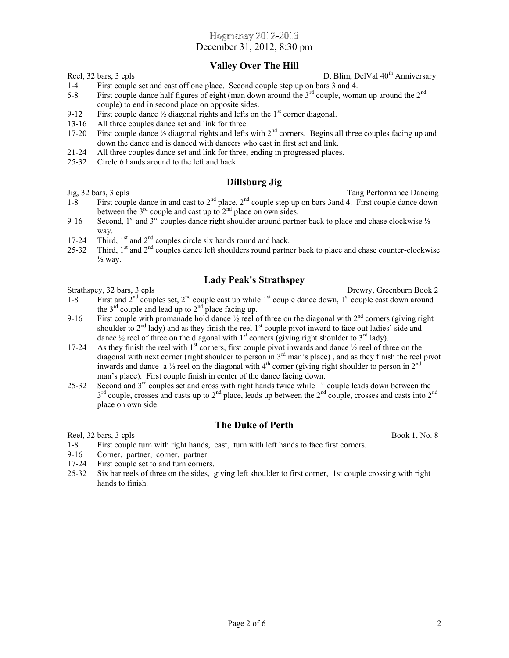December 31, 2012, 8:30 pm

## **Valley Over The Hill**

Reel, 32 bars, 3 cpls D. Blim, DelVal 40<sup>th</sup> Anniversary

- 1-4 First couple set and cast off one place. Second couple step up on bars 3 and 4.
- 5-8 First couple dance half figures of eight (man down around the 3<sup>rd</sup> couple, woman up around the 2<sup>nd</sup> couple) to end in second place on opposite sides.
- 9-12 First couple dance  $\frac{1}{2}$  diagonal rights and lefts on the 1<sup>st</sup> corner diagonal.
- 13-16 All three couples dance set and link for three.
- 17-20 First couple dance  $\frac{1}{2}$  diagonal rights and lefts with  $2^{nd}$  corners. Begins all three couples facing up and down the dance and is danced with dancers who cast in first set and link.
- 21-24 All three couples dance set and link for three, ending in progressed places.
- 25-32 Circle 6 hands around to the left and back.

## **Dillsburg Jig**

Jig, 32 bars, 3 cpls Tang Performance Dancing

- 1-8 First couple dance in and cast to  $2<sup>nd</sup>$  place,  $2<sup>nd</sup>$  couple step up on bars 3and 4. First couple dance down between the  $3<sup>rd</sup>$  couple and cast up to  $2<sup>nd</sup>$  place on own sides.
- 9-16 Second,  $1<sup>st</sup>$  and  $3<sup>rd</sup>$  couples dance right shoulder around partner back to place and chase clockwise  $\frac{1}{2}$ way.
- 17-24 Third,  $1<sup>st</sup>$  and  $2<sup>nd</sup>$  couples circle six hands round and back.
- 25-32 Third, 1<sup>st</sup> and 2<sup>nd</sup> couples dance left shoulders round partner back to place and chase counter-clockwise  $\frac{1}{2}$  way.

## **Lady Peak's Strathspey**

Strathspey, 32 bars, 3 cpls Drewry, Greenburn Book 2

- 1-8 First and  $2<sup>nd</sup>$  couples set,  $2<sup>nd</sup>$  couple cast up while 1<sup>st</sup> couple dance down, 1<sup>st</sup> couple cast down around the  $3<sup>rd</sup>$  couple and lead up to  $2<sup>nd</sup>$  place facing up.
- 9-16 First couple with promanade hold dance  $\frac{1}{2}$  reel of three on the diagonal with  $2^{nd}$  corners (giving right shoulder to  $2<sup>nd</sup>$  lady) and as they finish the reel  $1<sup>st</sup>$  couple pivot inward to face out ladies' side and dance  $\frac{1}{2}$  reel of three on the diagonal with 1<sup>st</sup> corners (giving right shoulder to 3<sup>rd</sup> lady).
- 17-24 As they finish the reel with  $1<sup>st</sup>$  corners, first couple pivot inwards and dance  $\frac{1}{2}$  reel of three on the diagonal with next corner (right shoulder to person in 3<sup>rd</sup> man's place), and as they finish the reel pivot inwards and dance a  $\frac{1}{2}$  reel on the diagonal with 4<sup>th</sup> corner (giving right shoulder to person in  $2^{nd}$ man's place). First couple finish in center of the dance facing down.
- 25-32 Second and  $3<sup>rd</sup>$  couples set and cross with right hands twice while  $1<sup>st</sup>$  couple leads down between the  $3<sup>rd</sup>$  couple, crosses and casts up to  $2<sup>nd</sup>$  place, leads up between the  $2<sup>nd</sup>$  couple, crosses and casts into  $2<sup>nd</sup>$ place on own side.

# **The Duke of Perth**

- Reel, 32 bars, 3 cpls Book 1, No. 8
- 1-8 First couple turn with right hands, cast, turn with left hands to face first corners.
- 9-16 Corner, partner, corner, partner.
- 17-24 First couple set to and turn corners.
- 25-32 Six bar reels of three on the sides, giving left shoulder to first corner, 1st couple crossing with right hands to finish.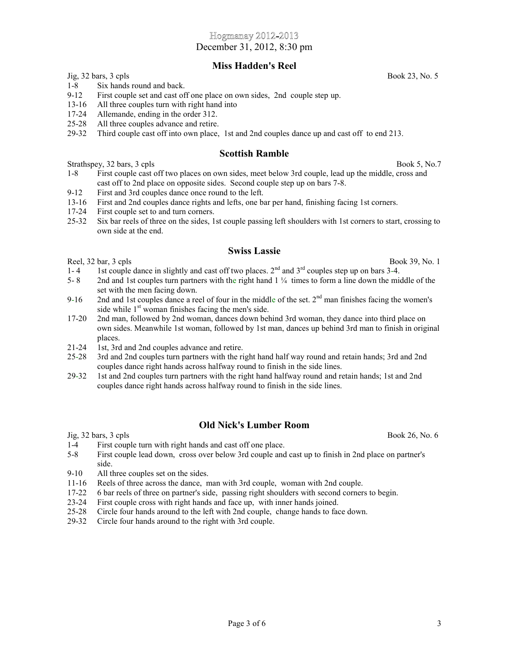December 31, 2012, 8:30 pm

### **Miss Hadden's Reel**

 $Jig, 32 \text{ bars}, 3 \text{ cpls}$  Book 23, No. 5

1-8 Six hands round and back.

- 13-16 All three couples turn with right hand into
- 17-24 Allemande, ending in the order 312.
- 25-28 All three couples advance and retire.
- 29-32 Third couple cast off into own place, 1st and 2nd couples dance up and cast off to end 213.

#### **Scottish Ramble**

Strathspey, 32 bars, 3 cpls Book 5, No.7

- 1-8 First couple cast off two places on own sides, meet below 3rd couple, lead up the middle, cross and cast off to 2nd place on opposite sides. Second couple step up on bars 7-8.
- 9-12 First and 3rd couples dance once round to the left.
- 13-16 First and 2nd couples dance rights and lefts, one bar per hand, finishing facing 1st corners.
- 17-24 First couple set to and turn corners.
- 25-32 Six bar reels of three on the sides, 1st couple passing left shoulders with 1st corners to start, crossing to own side at the end.

#### **Swiss Lassie**

Reel,  $32 \text{ bar}$ ,  $3 \text{ cpls}$  Book  $39$ , No. 1

- 1-4 1st couple dance in slightly and cast off two places.  $2<sup>nd</sup>$  and  $3<sup>rd</sup>$  couples step up on bars 3-4.
- 5- 8 2nd and 1st couples turn partners with the right hand 1 ¼ times to form a line down the middle of the set with the men facing down.
- 9-16 2nd and 1st couples dance a reel of four in the middle of the set.  $2<sup>nd</sup>$  man finishes facing the women's side while 1<sup>st</sup> woman finishes facing the men's side.
- 17-20 2nd man, followed by 2nd woman, dances down behind 3rd woman, they dance into third place on own sides. Meanwhile 1st woman, followed by 1st man, dances up behind 3rd man to finish in original places.
- 21-24 1st, 3rd and 2nd couples advance and retire.
- 25-28 3rd and 2nd couples turn partners with the right hand half way round and retain hands; 3rd and 2nd couples dance right hands across halfway round to finish in the side lines.
- 29-32 1st and 2nd couples turn partners with the right hand halfway round and retain hands; 1st and 2nd couples dance right hands across halfway round to finish in the side lines.

## **Old Nick's Lumber Room**

 $Jig, 32 \text{ bars}, 3 \text{ cpls}$  Book 26, No. 6

- 1-4 First couple turn with right hands and cast off one place.
- 5-8 First couple lead down, cross over below 3rd couple and cast up to finish in 2nd place on partner's side.
- 9-10 All three couples set on the sides.
- 11-16 Reels of three across the dance, man with 3rd couple, woman with 2nd couple.
- 17-22 6 bar reels of three on partner's side, passing right shoulders with second corners to begin.
- 23-24 First couple cross with right hands and face up, with inner hands joined.
- 25-28 Circle four hands around to the left with 2nd couple, change hands to face down.
- 29-32 Circle four hands around to the right with 3rd couple.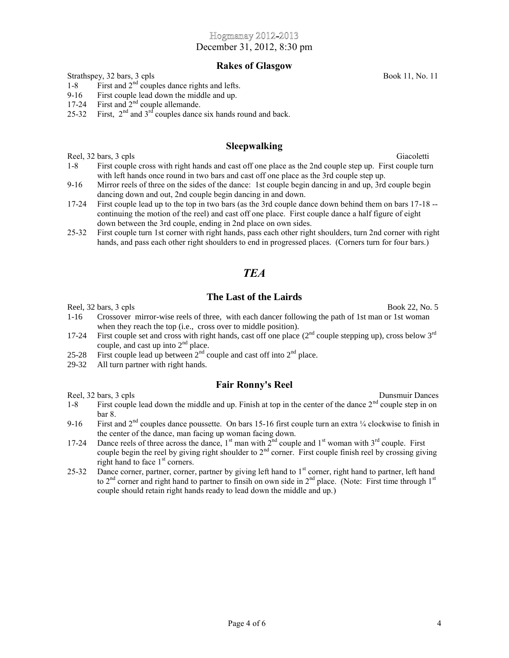December 31, 2012, 8:30 pm

#### **Rakes of Glasgow**

Strathspey, 32 bars, 3 cpls Book 11, No. 11

- 1-8 First and  $2<sup>nd</sup>$  couples dance rights and lefts.
- 9-16 First couple lead down the middle and up.
- 17-24 First and  $2<sup>nd</sup>$  couple allemande.
- 25-32 First,  $2<sup>nd</sup>$  and  $3<sup>rd</sup>$  couples dance six hands round and back.

#### **Sleepwalking**

Reel, 32 bars, 3 cpls Giacoletti

- 1-8 First couple cross with right hands and cast off one place as the 2nd couple step up. First couple turn with left hands once round in two bars and cast off one place as the 3rd couple step up.
- 9-16 Mirror reels of three on the sides of the dance: 1st couple begin dancing in and up, 3rd couple begin dancing down and out, 2nd couple begin dancing in and down.
- 17-24 First couple lead up to the top in two bars (as the 3rd couple dance down behind them on bars 17-18 continuing the motion of the reel) and cast off one place. First couple dance a half figure of eight down between the 3rd couple, ending in 2nd place on own sides.
- 25-32 First couple turn 1st corner with right hands, pass each other right shoulders, turn 2nd corner with right hands, and pass each other right shoulders to end in progressed places. (Corners turn for four bars.)

# *TEA*

#### **The Last of the Lairds**

Reel,  $32 \text{ bars}, 3 \text{ cps}$  Book  $22, \text{No. } 5$ 

- 1-16 Crossover mirror-wise reels of three, with each dancer following the path of 1st man or 1st woman when they reach the top (i.e., cross over to middle position).
- 17-24 First couple set and cross with right hands, cast off one place  $(2<sup>nd</sup>$  couple stepping up), cross below  $3<sup>rd</sup>$ couple, and cast up into  $2<sup>nd</sup>$  place.
- 25-28 First couple lead up between  $2^{nd}$  couple and cast off into  $2^{nd}$  place.
- 29-32 All turn partner with right hands.

#### **Fair Ronny's Reel**

Reel, 32 bars, 3 cpls Dunsmuir Dances

- 1-8 First couple lead down the middle and up. Finish at top in the center of the dance  $2<sup>nd</sup>$  couple step in on bar 8.
- 9-16 First and  $2<sup>nd</sup>$  couples dance poussette. On bars 15-16 first couple turn an extra  $\frac{1}{4}$  clockwise to finish in the center of the dance, man facing up woman facing down.
- 17-24 Dance reels of three across the dance,  $1^{st}$  man with  $2^{nd}$  couple and  $1^{st}$  woman with  $3^{rd}$  couple. First couple begin the reel by giving right shoulder to  $2<sup>nd</sup>$  corner. First couple finish reel by crossing giving right hand to face 1<sup>st</sup> corners.
- 25-32 Dance corner, partner, corner, partner by giving left hand to 1<sup>st</sup> corner, right hand to partner, left hand to 2<sup>nd</sup> corner and right hand to partner to finsih on own side in 2<sup>nd</sup> place. (Note: First time through 1<sup>st</sup> couple should retain right hands ready to lead down the middle and up.)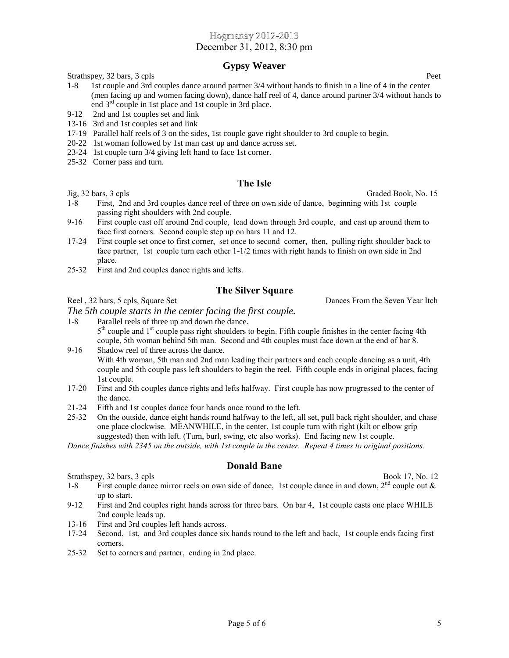December 31, 2012, 8:30 pm

## **Gypsy Weaver**

Strathspey, 32 bars, 3 cpls Peet

- 1-8 1st couple and 3rd couples dance around partner 3/4 without hands to finish in a line of 4 in the center (men facing up and women facing down), dance half reel of 4, dance around partner 3/4 without hands to end 3rd couple in 1st place and 1st couple in 3rd place.
- 9-12 2nd and 1st couples set and link
- 13-16 3rd and 1st couples set and link
- 17-19 Parallel half reels of 3 on the sides, 1st couple gave right shoulder to 3rd couple to begin.
- 20-22 1st woman followed by 1st man cast up and dance across set.
- 23-24 1st couple turn 3/4 giving left hand to face 1st corner.
- 25-32 Corner pass and turn.

## **The Isle**

- 1-8 First, 2nd and 3rd couples dance reel of three on own side of dance, beginning with 1st couple passing right shoulders with 2nd couple.
- 9-16 First couple cast off around 2nd couple, lead down through 3rd couple, and cast up around them to face first corners. Second couple step up on bars 11 and 12.
- 17-24 First couple set once to first corner, set once to second corner, then, pulling right shoulder back to face partner, 1st couple turn each other 1-1/2 times with right hands to finish on own side in 2nd place.
- 25-32 First and 2nd couples dance rights and lefts.

## **The Silver Square**

Reel , 32 bars, 5 cpls, Square Set Dances From the Seven Year Itch

*The 5th couple starts in the center facing the first couple.*

- 1-8 Parallel reels of three up and down the dance. 5<sup>th</sup> couple and 1<sup>st</sup> couple pass right shoulders to begin. Fifth couple finishes in the center facing 4th couple, 5th woman behind 5th man. Second and 4th couples must face down at the end of bar 8.
- 9-16 Shadow reel of three across the dance. With 4th woman, 5th man and 2nd man leading their partners and each couple dancing as a unit, 4th couple and 5th couple pass left shoulders to begin the reel. Fifth couple ends in original places, facing 1st couple.
- 17-20 First and 5th couples dance rights and lefts halfway. First couple has now progressed to the center of the dance.
- 21-24 Fifth and 1st couples dance four hands once round to the left.
- 25-32 On the outside, dance eight hands round halfway to the left, all set, pull back right shoulder, and chase one place clockwise. MEANWHILE, in the center, 1st couple turn with right (kilt or elbow grip suggested) then with left. (Turn, burl, swing, etc also works). End facing new 1st couple.

*Dance finishes with 2345 on the outside, with 1st couple in the center. Repeat 4 times to original positions.*

## **Donald Bane**

Strathspey, 32 bars, 3 cpls Book 17, No. 12

- 1-8 First couple dance mirror reels on own side of dance, 1st couple dance in and down,  $2<sup>nd</sup>$  couple out  $\&$ up to start.
- 9-12 First and 2nd couples right hands across for three bars. On bar 4, 1st couple casts one place WHILE 2nd couple leads up.
- 13-16 First and 3rd couples left hands across.
- 17-24 Second, 1st, and 3rd couples dance six hands round to the left and back, 1st couple ends facing first corners.
- 25-32 Set to corners and partner, ending in 2nd place.

Jig, 32 bars, 3 cpls Graded Book, No. 15